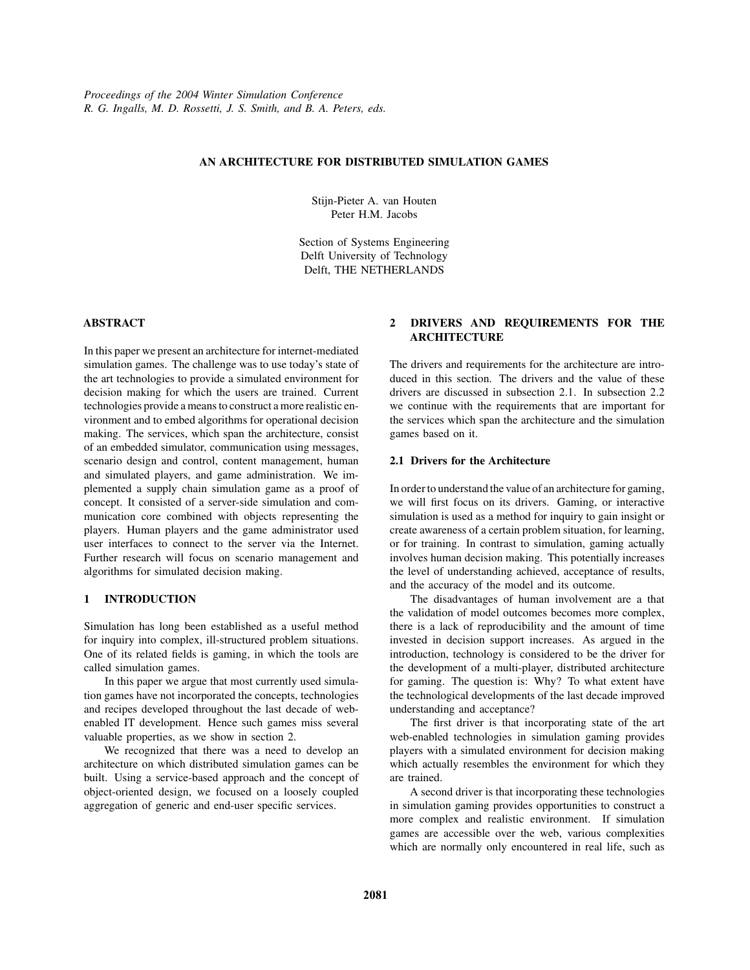#### **AN ARCHITECTURE FOR DISTRIBUTED SIMULATION GAMES**

Stijn-Pieter A. van Houten Peter H.M. Jacobs

Section of Systems Engineering Delft University of Technology Delft, THE NETHERLANDS

## **ABSTRACT**

In this paper we present an architecture for internet-mediated simulation games. The challenge was to use today's state of the art technologies to provide a simulated environment for decision making for which the users are trained. Current technologies provide a means to construct a more realistic environment and to embed algorithms for operational decision making. The services, which span the architecture, consist of an embedded simulator, communication using messages, scenario design and control, content management, human and simulated players, and game administration. We implemented a supply chain simulation game as a proof of concept. It consisted of a server-side simulation and communication core combined with objects representing the players. Human players and the game administrator used user interfaces to connect to the server via the Internet. Further research will focus on scenario management and algorithms for simulated decision making.

#### **1 INTRODUCTION**

Simulation has long been established as a useful method for inquiry into complex, ill-structured problem situations. One of its related fields is gaming, in which the tools are called simulation games.

In this paper we argue that most currently used simulation games have not incorporated the concepts, technologies and recipes developed throughout the last decade of webenabled IT development. Hence such games miss several valuable properties, as we show in section 2.

We recognized that there was a need to develop an architecture on which distributed simulation games can be built. Using a service-based approach and the concept of object-oriented design, we focused on a loosely coupled aggregation of generic and end-user specific services.

## **2 DRIVERS AND REQUIREMENTS FOR THE ARCHITECTURE**

The drivers and requirements for the architecture are introduced in this section. The drivers and the value of these drivers are discussed in subsection 2.1. In subsection [2.2](#page-1-0) we continue with the requirements that are important for the services which span the architecture and the simulation games based on it.

#### **2.1 Drivers for the Architecture**

In order to understand the value of an architecture for gaming, we will first focus on its drivers. Gaming, or interactive simulation is used as a method for inquiry to gain insight or create awareness of a certain problem situation, for learning, or for training. In contrast to simulation, gaming actually involves human decision making. This potentially increases the level of understanding achieved, acceptance of results, and the accuracy of the model and its outcome.

The disadvantages of human involvement are a that the validation of model outcomes becomes more complex, there is a lack of reproducibility and the amount of time invested in decision support increases. As argued in the introduction, technology is considered to be the driver for the development of a multi-player, distributed architecture for gaming. The question is: Why? To what extent have the technological developments of the last decade improved understanding and acceptance?

The first driver is that incorporating state of the art web-enabled technologies in simulation gaming provides players with a simulated environment for decision making which actually resembles the environment for which they are trained.

A second driver is that incorporating these technologies in simulation gaming provides opportunities to construct a more complex and realistic environment. If simulation games are accessible over the web, various complexities which are normally only encountered in real life, such as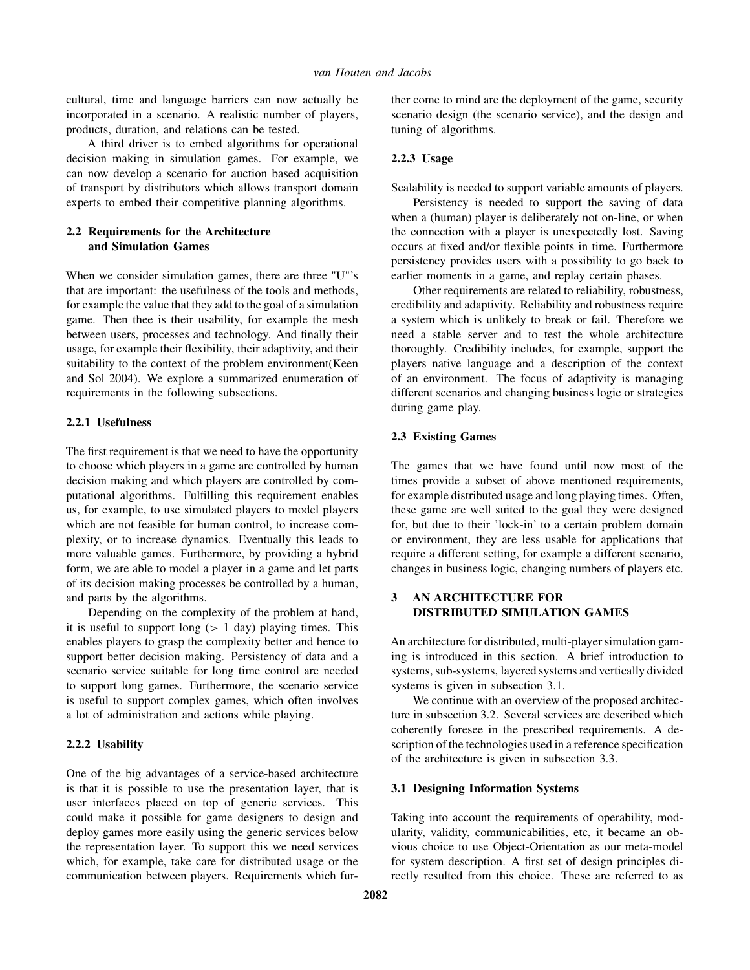<span id="page-1-0"></span>cultural, time and language barriers can now actually be incorporated in a scenario. A realistic number of players, products, duration, and relations can be tested.

A third driver is to embed algorithms for operational decision making in simulation games. For example, we can now develop a scenario for auction based acquisition of transport by distributors which allows transport domain experts to embed their competitive planning algorithms.

## **2.2 Requirements for the Architecture and Simulation Games**

When we consider simulation games, there are three "U"'s that are important: the usefulness of the tools and methods, for example the value that they add to the goal of a simulation game. Then thee is their usability, for example the mesh between users, processes and technology. And finally their usage, for example their flexibility, their adaptivity, and their suitability to the context of the problem environment(Keen and Sol 2004). We explore a summarized enumeration of requirements in the following subsections.

### **2.2.1 Usefulness**

The first requirement is that we need to have the opportunity to choose which players in a game are controlled by human decision making and which players are controlled by computational algorithms. Fulfilling this requirement enables us, for example, to use simulated players to model players which are not feasible for human control, to increase complexity, or to increase dynamics. Eventually this leads to more valuable games. Furthermore, by providing a hybrid form, we are able to model a player in a game and let parts of its decision making processes be controlled by a human, and parts by the algorithms.

Depending on the complexity of the problem at hand, it is useful to support long (*>* 1 day) playing times. This enables players to grasp the complexity better and hence to support better decision making. Persistency of data and a scenario service suitable for long time control are needed to support long games. Furthermore, the scenario service is useful to support complex games, which often involves a lot of administration and actions while playing.

## **2.2.2 Usability**

One of the big advantages of a service-based architecture is that it is possible to use the presentation layer, that is user interfaces placed on top of generic services. This could make it possible for game designers to design and deploy games more easily using the generic services below the representation layer. To support this we need services which, for example, take care for distributed usage or the communication between players. Requirements which further come to mind are the deployment of the game, security scenario design (the scenario service), and the design and tuning of algorithms.

### **2.2.3 Usage**

Scalability is needed to support variable amounts of players.

Persistency is needed to support the saving of data when a (human) player is deliberately not on-line, or when the connection with a player is unexpectedly lost. Saving occurs at fixed and/or flexible points in time. Furthermore persistency provides users with a possibility to go back to earlier moments in a game, and replay certain phases.

Other requirements are related to reliability, robustness, credibility and adaptivity. Reliability and robustness require a system which is unlikely to break or fail. Therefore we need a stable server and to test the whole architecture thoroughly. Credibility includes, for example, support the players native language and a description of the context of an environment. The focus of adaptivity is managing different scenarios and changing business logic or strategies during game play.

## **2.3 Existing Games**

The games that we have found until now most of the times provide a subset of above mentioned requirements, for example distributed usage and long playing times. Often, these game are well suited to the goal they were designed for, but due to their 'lock-in' to a certain problem domain or environment, they are less usable for applications that require a different setting, for example a different scenario, changes in business logic, changing numbers of players etc.

# **3 AN ARCHITECTURE FOR DISTRIBUTED SIMULATION GAMES**

An architecture for distributed, multi-player simulation gaming is introduced in this section. A brief introduction to systems, sub-systems, layered systems and vertically divided systems is given in subsection 3.1.

We continue with an overview of the proposed architecture in subsection [3.2.](#page-2-0) Several services are described which coherently foresee in the prescribed requirements. A description of the technologies used in a reference specification of the architecture is given in subsection [3.3.](#page-3-0)

#### **3.1 Designing Information Systems**

Taking into account the requirements of operability, modularity, validity, communicabilities, etc, it became an obvious choice to use Object-Orientation as our meta-model for system description. A first set of design principles directly resulted from this choice. These are referred to as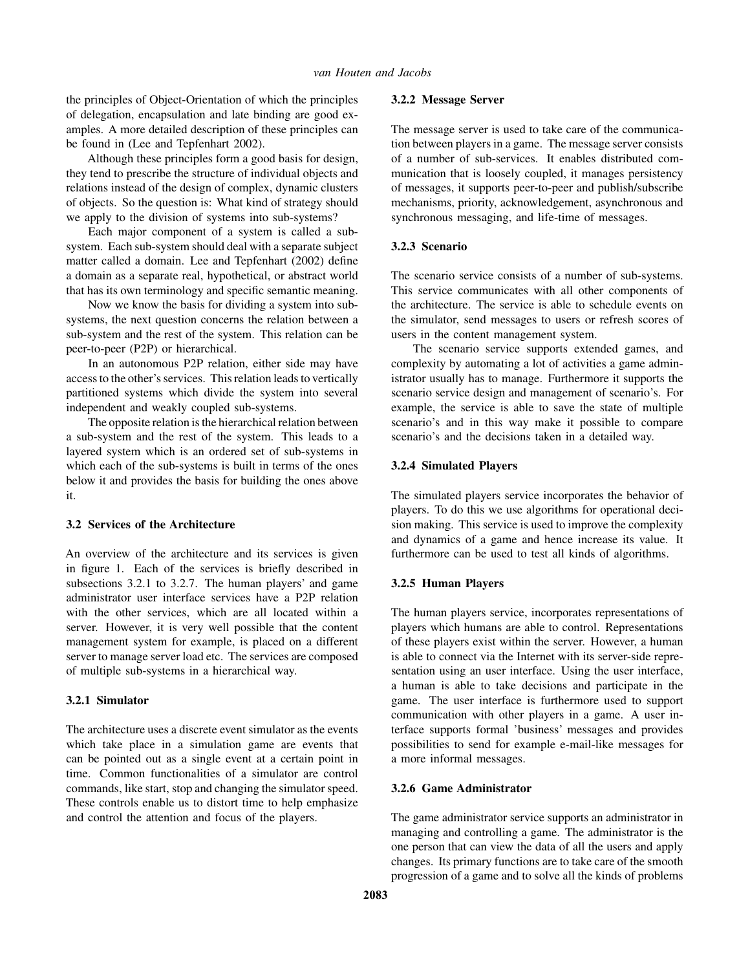<span id="page-2-0"></span>the principles of Object-Orientation of which the principles of delegation, encapsulation and late binding are good examples. A more detailed description of these principles can be found in (Lee and Tepfenhart 2002).

Although these principles form a good basis for design, they tend to prescribe the structure of individual objects and relations instead of the design of complex, dynamic clusters of objects. So the question is: What kind of strategy should we apply to the division of systems into sub-systems?

Each major component of a system is called a subsystem. Each sub-system should deal with a separate subject matter called a domain. Lee and Tepfenhart (2002) define a domain as a separate real, hypothetical, or abstract world that has its own terminology and specific semantic meaning.

Now we know the basis for dividing a system into subsystems, the next question concerns the relation between a sub-system and the rest of the system. This relation can be peer-to-peer (P2P) or hierarchical.

In an autonomous P2P relation, either side may have access to the other's services. This relation leads to vertically partitioned systems which divide the system into several independent and weakly coupled sub-systems.

The opposite relation is the hierarchical relation between a sub-system and the rest of the system. This leads to a layered system which is an ordered set of sub-systems in which each of the sub-systems is built in terms of the ones below it and provides the basis for building the ones above it.

# **3.2 Services of the Architecture**

An overview of the architecture and its services is given in figure [1.](#page-3-0) Each of the services is briefly described in subsections 3.2.1 to [3.2.7.](#page-3-0) The human players' and game administrator user interface services have a P2P relation with the other services, which are all located within a server. However, it is very well possible that the content management system for example, is placed on a different server to manage server load etc. The services are composed of multiple sub-systems in a hierarchical way.

# **3.2.1 Simulator**

The architecture uses a discrete event simulator as the events which take place in a simulation game are events that can be pointed out as a single event at a certain point in time. Common functionalities of a simulator are control commands, like start, stop and changing the simulator speed. These controls enable us to distort time to help emphasize and control the attention and focus of the players.

# **3.2.2 Message Server**

The message server is used to take care of the communication between players in a game. The message server consists of a number of sub-services. It enables distributed communication that is loosely coupled, it manages persistency of messages, it supports peer-to-peer and publish/subscribe mechanisms, priority, acknowledgement, asynchronous and synchronous messaging, and life-time of messages.

# **3.2.3 Scenario**

The scenario service consists of a number of sub-systems. This service communicates with all other components of the architecture. The service is able to schedule events on the simulator, send messages to users or refresh scores of users in the content management system.

The scenario service supports extended games, and complexity by automating a lot of activities a game administrator usually has to manage. Furthermore it supports the scenario service design and management of scenario's. For example, the service is able to save the state of multiple scenario's and in this way make it possible to compare scenario's and the decisions taken in a detailed way.

# **3.2.4 Simulated Players**

The simulated players service incorporates the behavior of players. To do this we use algorithms for operational decision making. This service is used to improve the complexity and dynamics of a game and hence increase its value. It furthermore can be used to test all kinds of algorithms.

# **3.2.5 Human Players**

The human players service, incorporates representations of players which humans are able to control. Representations of these players exist within the server. However, a human is able to connect via the Internet with its server-side representation using an user interface. Using the user interface, a human is able to take decisions and participate in the game. The user interface is furthermore used to support communication with other players in a game. A user interface supports formal 'business' messages and provides possibilities to send for example e-mail-like messages for a more informal messages.

# **3.2.6 Game Administrator**

The game administrator service supports an administrator in managing and controlling a game. The administrator is the one person that can view the data of all the users and apply changes. Its primary functions are to take care of the smooth progression of a game and to solve all the kinds of problems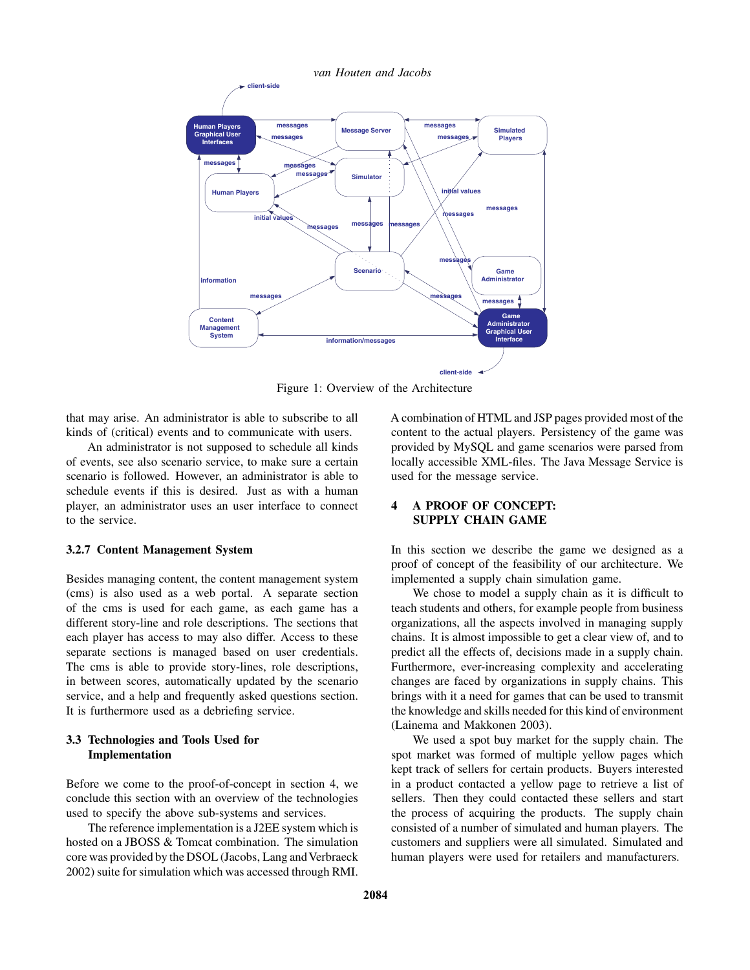<span id="page-3-0"></span>

Figure 1: Overview of the Architecture

that may arise. An administrator is able to subscribe to all kinds of (critical) events and to communicate with users.

An administrator is not supposed to schedule all kinds of events, see also scenario service, to make sure a certain scenario is followed. However, an administrator is able to schedule events if this is desired. Just as with a human player, an administrator uses an user interface to connect to the service.

#### **3.2.7 Content Management System**

Besides managing content, the content management system (cms) is also used as a web portal. A separate section of the cms is used for each game, as each game has a different story-line and role descriptions. The sections that each player has access to may also differ. Access to these separate sections is managed based on user credentials. The cms is able to provide story-lines, role descriptions, in between scores, automatically updated by the scenario service, and a help and frequently asked questions section. It is furthermore used as a debriefing service.

### **3.3 Technologies and Tools Used for Implementation**

Before we come to the proof-of-concept in section 4, we conclude this section with an overview of the technologies used to specify the above sub-systems and services.

The reference implementation is a J2EE system which is hosted on a JBOSS & Tomcat combination. The simulation core was provided by the DSOL (Jacobs, Lang and Verbraeck 2002) suite for simulation which was accessed through RMI.

A combination of HTML and JSP pages provided most of the content to the actual players. Persistency of the game was provided by MySQL and game scenarios were parsed from locally accessible XML-files. The Java Message Service is used for the message service.

## **4 A PROOF OF CONCEPT: SUPPLY CHAIN GAME**

In this section we describe the game we designed as a proof of concept of the feasibility of our architecture. We implemented a supply chain simulation game.

We chose to model a supply chain as it is difficult to teach students and others, for example people from business organizations, all the aspects involved in managing supply chains. It is almost impossible to get a clear view of, and to predict all the effects of, decisions made in a supply chain. Furthermore, ever-increasing complexity and accelerating changes are faced by organizations in supply chains. This brings with it a need for games that can be used to transmit the knowledge and skills needed for this kind of environment (Lainema and Makkonen 2003).

We used a spot buy market for the supply chain. The spot market was formed of multiple yellow pages which kept track of sellers for certain products. Buyers interested in a product contacted a yellow page to retrieve a list of sellers. Then they could contacted these sellers and start the process of acquiring the products. The supply chain consisted of a number of simulated and human players. The customers and suppliers were all simulated. Simulated and human players were used for retailers and manufacturers.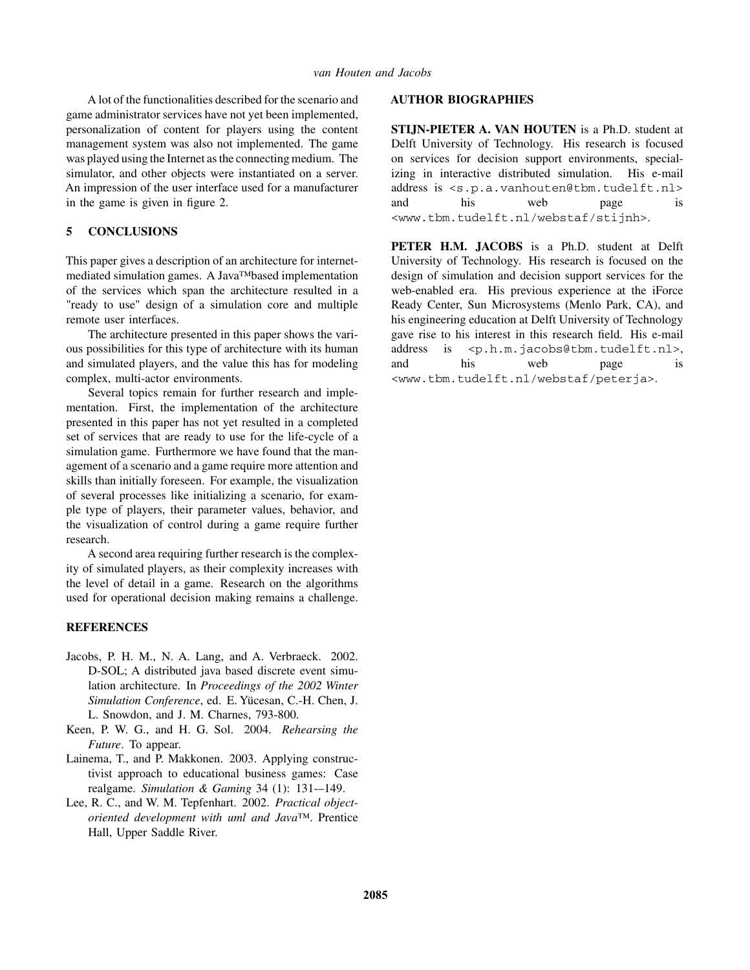A lot of the functionalities described for the scenario and game administrator services have not yet been implemented, personalization of content for players using the content management system was also not implemented. The game was played using the Internet as the connecting medium. The simulator, and other objects were instantiated on a server. An impression of the user interface used for a manufacturer in the game is given in figure [2.](#page-5-0)

# **5 CONCLUSIONS**

This paper gives a description of an architecture for internetmediated simulation games. A Java™based implementation of the services which span the architecture resulted in a "ready to use" design of a simulation core and multiple remote user interfaces.

The architecture presented in this paper shows the various possibilities for this type of architecture with its human and simulated players, and the value this has for modeling complex, multi-actor environments.

Several topics remain for further research and implementation. First, the implementation of the architecture presented in this paper has not yet resulted in a completed set of services that are ready to use for the life-cycle of a simulation game. Furthermore we have found that the management of a scenario and a game require more attention and skills than initially foreseen. For example, the visualization of several processes like initializing a scenario, for example type of players, their parameter values, behavior, and the visualization of control during a game require further research.

A second area requiring further research is the complexity of simulated players, as their complexity increases with the level of detail in a game. Research on the algorithms used for operational decision making remains a challenge.

## **REFERENCES**

- Jacobs, P. H. M., N. A. Lang, and A. Verbraeck. 2002. D-SOL; A distributed java based discrete event simulation architecture. In *Proceedings of the 2002 Winter Simulation Conference*, ed. E. Yücesan, C.-H. Chen, J. L. Snowdon, and J. M. Charnes, 793-800.
- Keen, P. W. G., and H. G. Sol. 2004. *Rehearsing the Future*. To appear.
- Lainema, T., and P. Makkonen. 2003. Applying constructivist approach to educational business games: Case realgame. *Simulation & Gaming* 34 (1): 131-–149.
- Lee, R. C., and W. M. Tepfenhart. 2002. *Practical objectoriented development with uml and Java™*. Prentice Hall, Upper Saddle River.

## **AUTHOR BIOGRAPHIES**

**STIJN-PIETER A. VAN HOUTEN** is a Ph.D. student at Delft University of Technology. His research is focused on services for decision support environments, specializing in interactive distributed simulation. His e-mail address is [<s.p.a.vanhouten@tbm.tudelft.nl>](mailto:s.p.a.vanhouten@tbm.tudelft.nl) and his web page is [<www.tbm.tudelft.nl/webstaf/stijnh>](http://www.tbm.tudelft.nl/webstaf/stijnh).

**PETER H.M. JACOBS** is a Ph.D. student at Delft University of Technology. His research is focused on the design of simulation and decision support services for the web-enabled era. His previous experience at the iForce Ready Center, Sun Microsystems (Menlo Park, CA), and his engineering education at Delft University of Technology gave rise to his interest in this research field. His e-mail address is [<p.h.m.jacobs@tbm.tudelft.nl>](mailto:p.h.m.jacobs@tbm.tudelft.nl), and his web page is [<www.tbm.tudelft.nl/webstaf/peterja>](http://www.tbm.tudelft.nl/webstaf/peterja).